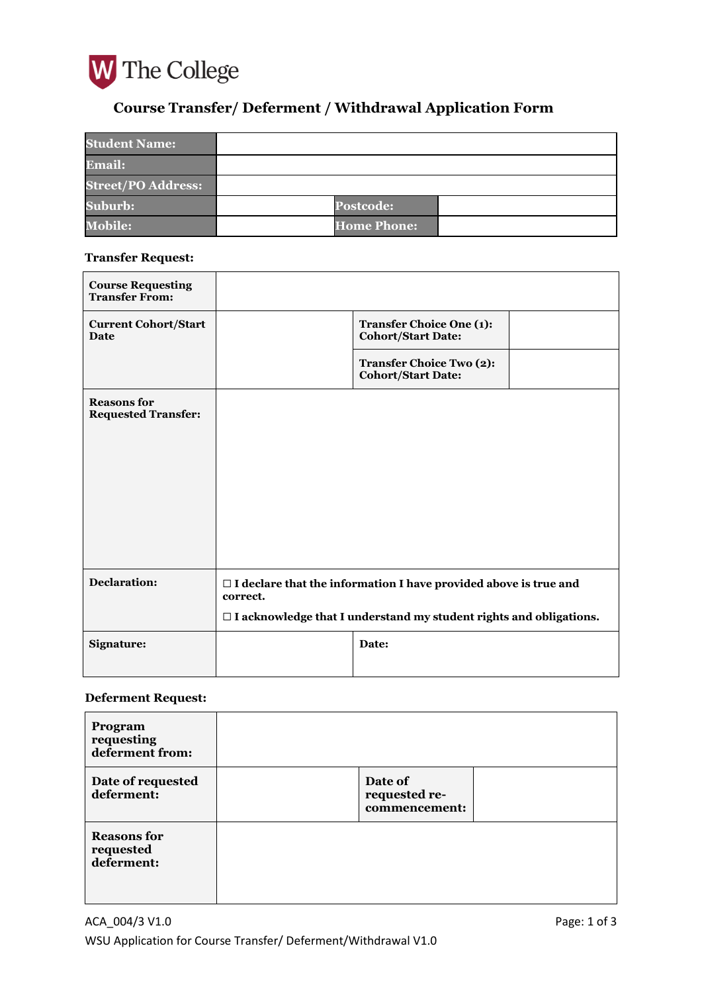

# **Course Transfer/ Deferment / Withdrawal Application Form**

| <b>Student Name:</b>      |                    |  |
|---------------------------|--------------------|--|
| <b>Email:</b>             |                    |  |
| <b>Street/PO Address:</b> |                    |  |
| <b>Suburb:</b>            | <b>Postcode:</b>   |  |
| <b>Mobile:</b>            | <b>Home Phone:</b> |  |

### **Transfer Request:**

| <b>Course Requesting</b><br><b>Transfer From:</b> |                                                                                     |                                                              |  |
|---------------------------------------------------|-------------------------------------------------------------------------------------|--------------------------------------------------------------|--|
| <b>Current Cohort/Start</b><br>Date               |                                                                                     | <b>Transfer Choice One (1):</b><br><b>Cohort/Start Date:</b> |  |
|                                                   |                                                                                     | <b>Transfer Choice Two (2):</b><br><b>Cohort/Start Date:</b> |  |
| <b>Reasons for</b><br><b>Requested Transfer:</b>  |                                                                                     |                                                              |  |
|                                                   |                                                                                     |                                                              |  |
|                                                   |                                                                                     |                                                              |  |
|                                                   |                                                                                     |                                                              |  |
|                                                   |                                                                                     |                                                              |  |
|                                                   |                                                                                     |                                                              |  |
| <b>Declaration:</b>                               | $\Box$ I declare that the information I have provided above is true and<br>correct. |                                                              |  |
|                                                   | $\Box$ I acknowledge that I understand my student rights and obligations.           |                                                              |  |
| Signature:                                        |                                                                                     | Date:                                                        |  |
|                                                   |                                                                                     |                                                              |  |

# **Deferment Request:**

| Program<br>requesting<br>deferment from:      |                                           |  |
|-----------------------------------------------|-------------------------------------------|--|
| Date of requested<br>deferment:               | Date of<br>requested re-<br>commencement: |  |
| <b>Reasons for</b><br>requested<br>deferment: |                                           |  |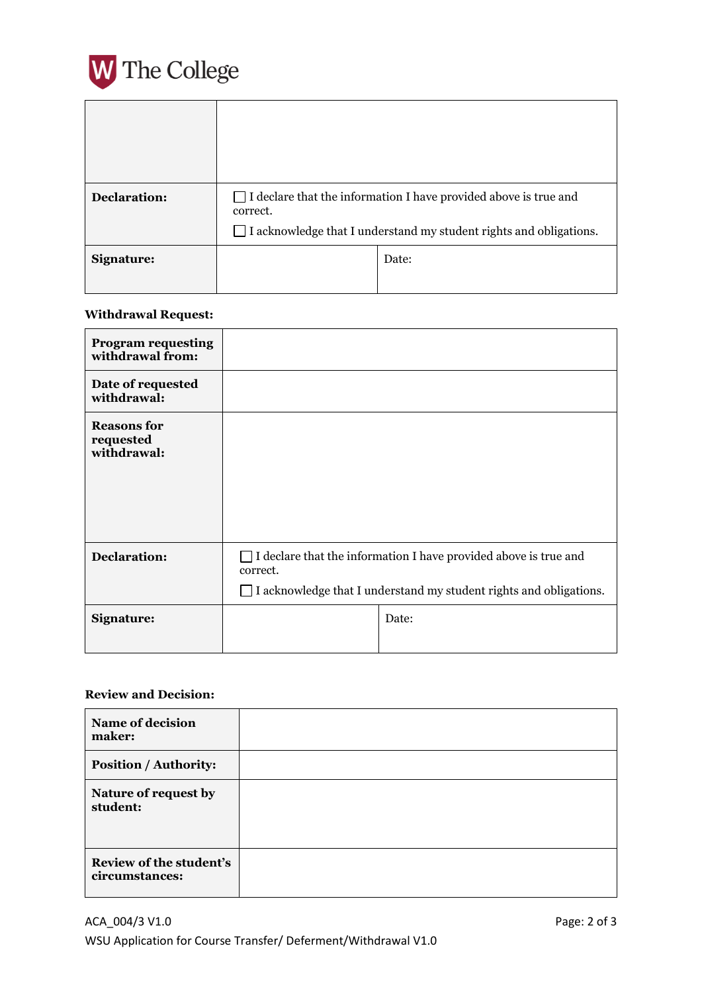

| Declaration: | $\Box$ I declare that the information I have provided above is true and<br>correct. |       |
|--------------|-------------------------------------------------------------------------------------|-------|
|              | $\Box$ I acknowledge that I understand my student rights and obligations.           |       |
| Signature:   |                                                                                     | Date: |
|              |                                                                                     |       |

#### **Withdrawal Request:**

| <b>Program requesting</b><br>withdrawal from:  |                                                                                                                                                                  |  |
|------------------------------------------------|------------------------------------------------------------------------------------------------------------------------------------------------------------------|--|
| Date of requested<br>withdrawal:               |                                                                                                                                                                  |  |
| <b>Reasons for</b><br>requested<br>withdrawal: |                                                                                                                                                                  |  |
| <b>Declaration:</b>                            | $\Box$ I declare that the information I have provided above is true and<br>correct.<br>$\Box$ I acknowledge that I understand my student rights and obligations. |  |
| Signature:                                     | Date:                                                                                                                                                            |  |

# **Review and Decision:**

| <b>Name of decision</b><br>maker:         |  |
|-------------------------------------------|--|
| <b>Position / Authority:</b>              |  |
| Nature of request by<br>student:          |  |
| Review of the student's<br>circumstances: |  |